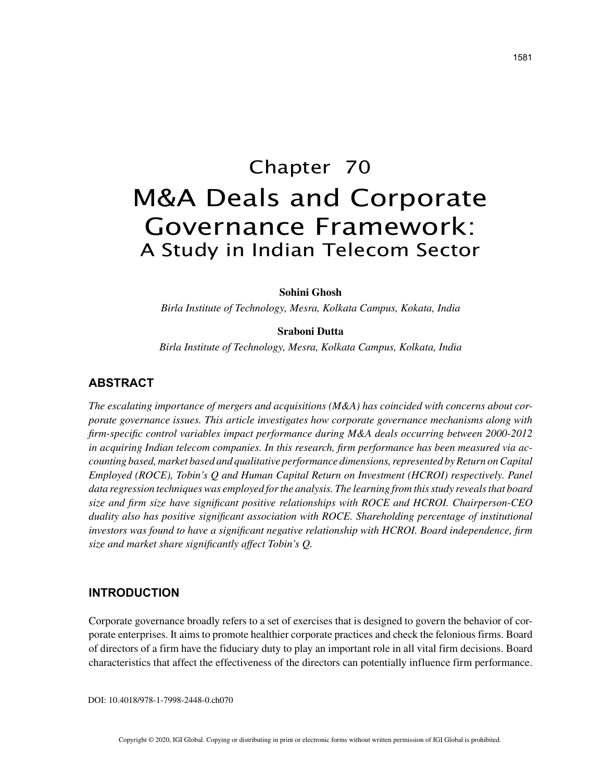1581

# Chapter 70 M&A Deals and Corporate Governance Framework: A Study in Indian Telecom Sector

**Sohini Ghosh**

*Birla Institute of Technology, Mesra, Kolkata Campus, Kokata, India*

#### **Sraboni Dutta**

*Birla Institute of Technology, Mesra, Kolkata Campus, Kolkata, India*

## **ABSTRACT**

*The escalating importance of mergers and acquisitions (M&A) has coincided with concerns about corporate governance issues. This article investigates how corporate governance mechanisms along with firm-specific control variables impact performance during M&A deals occurring between 2000-2012 in acquiring Indian telecom companies. In this research, firm performance has been measured via accounting based, market based and qualitative performance dimensions, represented by Return on Capital Employed (ROCE), Tobin's Q and Human Capital Return on Investment (HCROI) respectively. Panel data regression techniques was employed for the analysis. The learning from this study reveals that board size and firm size have significant positive relationships with ROCE and HCROI. Chairperson-CEO duality also has positive significant association with ROCE. Shareholding percentage of institutional investors was found to have a significant negative relationship with HCROI. Board independence, firm size and market share significantly affect Tobin's Q.*

### **INTRODUCTION**

Corporate governance broadly refers to a set of exercises that is designed to govern the behavior of corporate enterprises. It aims to promote healthier corporate practices and check the felonious firms. Board of directors of a firm have the fiduciary duty to play an important role in all vital firm decisions. Board characteristics that affect the effectiveness of the directors can potentially influence firm performance.

DOI: 10.4018/978-1-7998-2448-0.ch070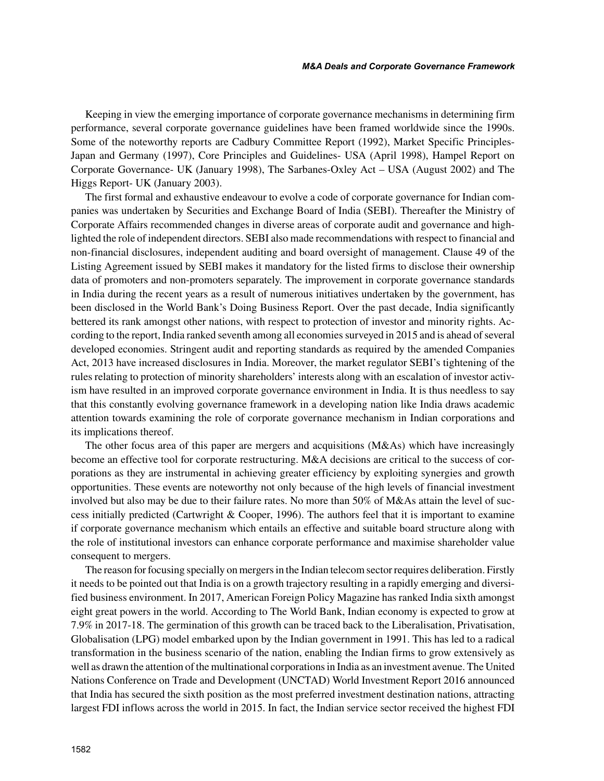Keeping in view the emerging importance of corporate governance mechanisms in determining firm performance, several corporate governance guidelines have been framed worldwide since the 1990s. Some of the noteworthy reports are Cadbury Committee Report (1992), Market Specific Principles-Japan and Germany (1997), Core Principles and Guidelines- USA (April 1998), Hampel Report on Corporate Governance- UK (January 1998), The Sarbanes-Oxley Act – USA (August 2002) and The Higgs Report- UK (January 2003).

The first formal and exhaustive endeavour to evolve a code of corporate governance for Indian companies was undertaken by Securities and Exchange Board of India (SEBI). Thereafter the Ministry of Corporate Affairs recommended changes in diverse areas of corporate audit and governance and highlighted the role of independent directors. SEBI also made recommendations with respect to financial and non-financial disclosures, independent auditing and board oversight of management. Clause 49 of the Listing Agreement issued by SEBI makes it mandatory for the listed firms to disclose their ownership data of promoters and non-promoters separately. The improvement in corporate governance standards in India during the recent years as a result of numerous initiatives undertaken by the government, has been disclosed in the World Bank's Doing Business Report. Over the past decade, India significantly bettered its rank amongst other nations, with respect to protection of investor and minority rights. According to the report, India ranked seventh among all economies surveyed in 2015 and is ahead of several developed economies. Stringent audit and reporting standards as required by the amended Companies Act, 2013 have increased disclosures in India. Moreover, the market regulator SEBI's tightening of the rules relating to protection of minority shareholders' interests along with an escalation of investor activism have resulted in an improved corporate governance environment in India. It is thus needless to say that this constantly evolving governance framework in a developing nation like India draws academic attention towards examining the role of corporate governance mechanism in Indian corporations and its implications thereof.

The other focus area of this paper are mergers and acquisitions (M&As) which have increasingly become an effective tool for corporate restructuring. M&A decisions are critical to the success of corporations as they are instrumental in achieving greater efficiency by exploiting synergies and growth opportunities. These events are noteworthy not only because of the high levels of financial investment involved but also may be due to their failure rates. No more than 50% of M&As attain the level of success initially predicted (Cartwright & Cooper, 1996). The authors feel that it is important to examine if corporate governance mechanism which entails an effective and suitable board structure along with the role of institutional investors can enhance corporate performance and maximise shareholder value consequent to mergers.

The reason for focusing specially on mergers in the Indian telecom sector requires deliberation. Firstly it needs to be pointed out that India is on a growth trajectory resulting in a rapidly emerging and diversified business environment. In 2017, American Foreign Policy Magazine has ranked India sixth amongst eight great powers in the world. According to The World Bank, Indian economy is expected to grow at 7.9% in 2017-18. The germination of this growth can be traced back to the Liberalisation, Privatisation, Globalisation (LPG) model embarked upon by the Indian government in 1991. This has led to a radical transformation in the business scenario of the nation, enabling the Indian firms to grow extensively as well as drawn the attention of the multinational corporations in India as an investment avenue. The United Nations Conference on Trade and Development (UNCTAD) World Investment Report 2016 announced that India has secured the sixth position as the most preferred investment destination nations, attracting largest FDI inflows across the world in 2015. In fact, the Indian service sector received the highest FDI